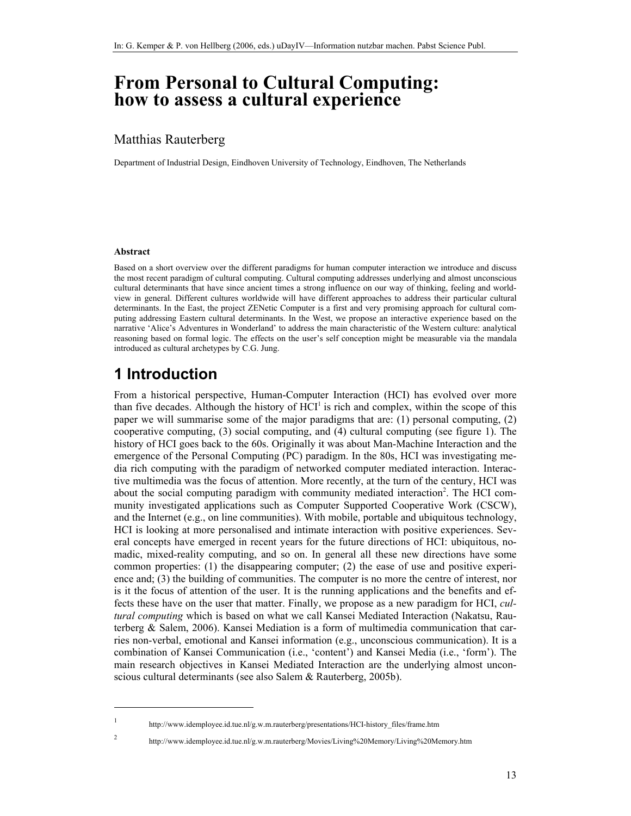# **From Personal to Cultural Computing: how to assess a cultural experience**

### Matthias Rauterberg

Department of Industrial Design, Eindhoven University of Technology, Eindhoven, The Netherlands

#### **Abstract**

Based on a short overview over the different paradigms for human computer interaction we introduce and discuss the most recent paradigm of cultural computing. Cultural computing addresses underlying and almost unconscious cultural determinants that have since ancient times a strong influence on our way of thinking, feeling and worldview in general. Different cultures worldwide will have different approaches to address their particular cultural determinants. In the East, the project ZENetic Computer is a first and very promising approach for cultural computing addressing Eastern cultural determinants. In the West, we propose an interactive experience based on the narrative 'Alice's Adventures in Wonderland' to address the main characteristic of the Western culture: analytical reasoning based on formal logic. The effects on the user's self conception might be measurable via the mandala introduced as cultural archetypes by C.G. Jung.

# **1 Introduction**

From a historical perspective, Human-Computer Interaction (HCI) has evolved over more than five decades. Although the history of  $HCI<sup>1</sup>$  is rich and complex, within the scope of this paper we will summarise some of the major paradigms that are: (1) personal computing, (2) cooperative computing, (3) social computing, and (4) cultural computing (see figure 1). The history of HCI goes back to the 60s. Originally it was about Man-Machine Interaction and the emergence of the Personal Computing (PC) paradigm. In the 80s, HCI was investigating media rich computing with the paradigm of networked computer mediated interaction. Interactive multimedia was the focus of attention. More recently, at the turn of the century, HCI was about the social computing paradigm with community mediated interaction<sup>2</sup>. The HCI community investigated applications such as Computer Supported Cooperative Work (CSCW), and the Internet (e.g., on line communities). With mobile, portable and ubiquitous technology, HCI is looking at more personalised and intimate interaction with positive experiences. Several concepts have emerged in recent years for the future directions of HCI: ubiquitous, nomadic, mixed-reality computing, and so on. In general all these new directions have some common properties: (1) the disappearing computer; (2) the ease of use and positive experience and; (3) the building of communities. The computer is no more the centre of interest, nor is it the focus of attention of the user. It is the running applications and the benefits and effects these have on the user that matter. Finally, we propose as a new paradigm for HCI, *cultural computing* which is based on what we call Kansei Mediated Interaction (Nakatsu, Rauterberg & Salem, 2006). Kansei Mediation is a form of multimedia communication that carries non-verbal, emotional and Kansei information (e.g., unconscious communication). It is a combination of Kansei Communication (i.e., 'content') and Kansei Media (i.e., 'form'). The main research objectives in Kansei Mediated Interaction are the underlying almost unconscious cultural determinants (see also Salem & Rauterberg, 2005b).

 $\overline{a}$ 1 2

http://www.idemployee.id.tue.nl/g.w.m.rauterberg/presentations/HCI-history\_files/frame.htm

http://www.idemployee.id.tue.nl/g.w.m.rauterberg/Movies/Living%20Memory/Living%20Memory.htm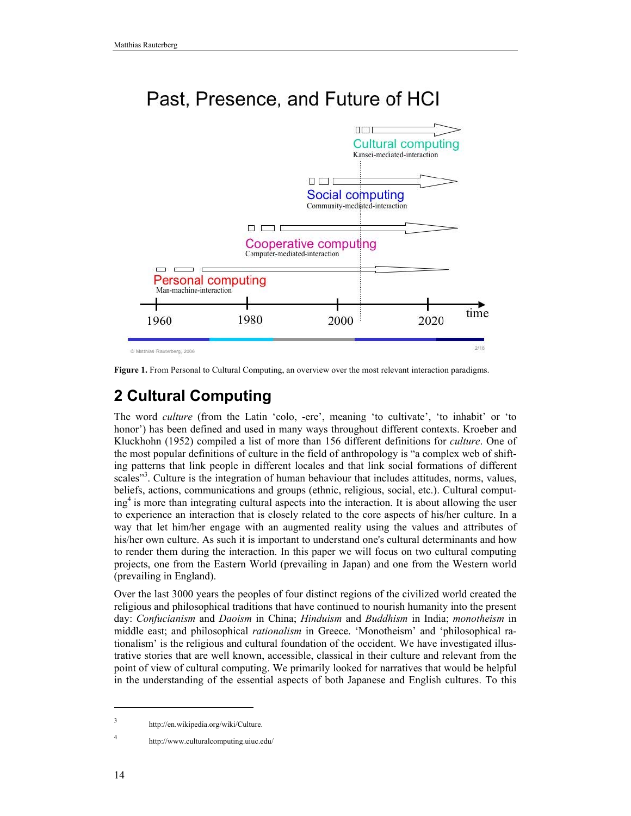



**Figure 1.** From Personal to Cultural Computing, an overview over the most relevant interaction paradigms.

# **2 Cultural Computing**

The word *culture* (from the Latin 'colo, -ere', meaning 'to cultivate', 'to inhabit' or 'to honor') has been defined and used in many ways throughout different contexts. Kroeber and Kluckhohn (1952) compiled a list of more than 156 different definitions for *culture*. One of the most popular definitions of culture in the field of anthropology is "a complex web of shifting patterns that link people in different locales and that link social formations of different scales"<sup>3</sup>. Culture is the integration of human behaviour that includes attitudes, norms, values, beliefs, actions, communications and groups (ethnic, religious, social, etc.). Cultural computing4 is more than integrating cultural aspects into the interaction. It is about allowing the user to experience an interaction that is closely related to the core aspects of his/her culture. In a way that let him/her engage with an augmented reality using the values and attributes of his/her own culture. As such it is important to understand one's cultural determinants and how to render them during the interaction. In this paper we will focus on two cultural computing projects, one from the Eastern World (prevailing in Japan) and one from the Western world (prevailing in England).

Over the last 3000 years the peoples of four distinct regions of the civilized world created the religious and philosophical traditions that have continued to nourish humanity into the present day: *Confucianism* and *Daoism* in China; *Hinduism* and *Buddhism* in India; *monotheism* in middle east; and philosophical *rationalism* in Greece. 'Monotheism' and 'philosophical rationalism' is the religious and cultural foundation of the occident. We have investigated illustrative stories that are well known, accessible, classical in their culture and relevant from the point of view of cultural computing. We primarily looked for narratives that would be helpful in the understanding of the essential aspects of both Japanese and English cultures. To this

 $\overline{a}$ 

4

<sup>3</sup> http://en.wikipedia.org/wiki/Culture.

http://www.culturalcomputing.uiuc.edu/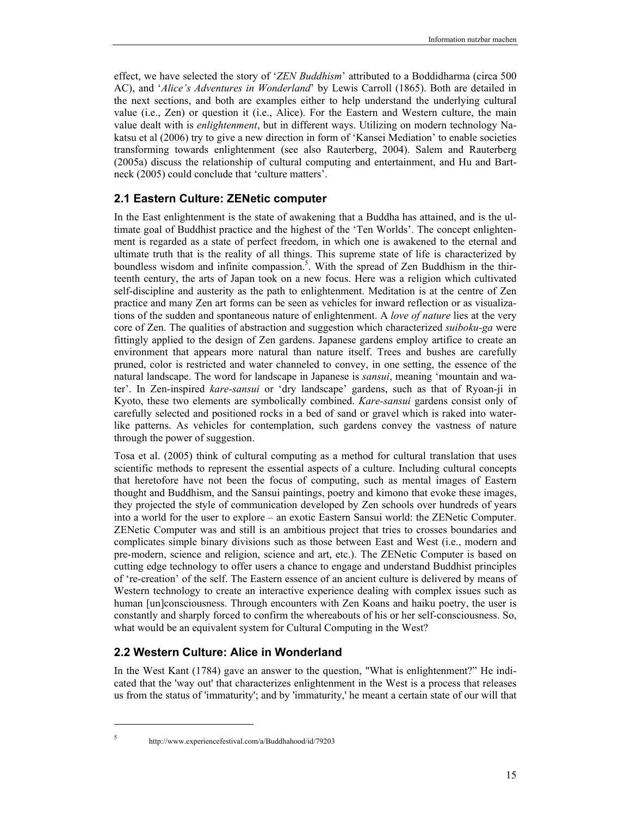effect, we have selected the story of '*ZEN Buddhism*' attributed to a Boddidharma (circa 500 AC), and '*Alice's Adventures in Wonderland*' by Lewis Carroll (1865). Both are detailed in the next sections, and both are examples either to help understand the underlying cultural value (i.e., Zen) or question it (i.e., Alice). For the Eastern and Western culture, the main value dealt with is *enlightenment*, but in different ways. Utilizing on modern technology Nakatsu et al (2006) try to give a new direction in form of 'Kansei Mediation' to enable societies transforming towards enlightenment (see also Rauterberg, 2004). Salem and Rauterberg (2005a) discuss the relationship of cultural computing and entertainment, and Hu and Bartneck (2005) could conclude that 'culture matters'.

### **2.1 Eastern Culture: ZENetic computer**

In the East enlightenment is the state of awakening that a Buddha has attained, and is the ultimate goal of Buddhist practice and the highest of the 'Ten Worlds'. The concept enlightenment is regarded as a state of perfect freedom, in which one is awakened to the eternal and ultimate truth that is the reality of all things. This supreme state of life is characterized by boundless wisdom and infinite compassion.<sup>5</sup>. With the spread of Zen Buddhism in the thirteenth century, the arts of Japan took on a new focus. Here was a religion which cultivated self-discipline and austerity as the path to enlightenment. Meditation is at the centre of Zen practice and many Zen art forms can be seen as vehicles for inward reflection or as visualizations of the sudden and spontaneous nature of enlightenment. A *love of nature* lies at the very core of Zen. The qualities of abstraction and suggestion which characterized *suiboku-ga* were fittingly applied to the design of Zen gardens. Japanese gardens employ artifice to create an environment that appears more natural than nature itself. Trees and bushes are carefully pruned, color is restricted and water channeled to convey, in one setting, the essence of the natural landscape. The word for landscape in Japanese is *sansui*, meaning 'mountain and water'. In Zen-inspired *kare-sansui* or 'dry landscape' gardens, such as that of Ryoan-ji in Kyoto, these two elements are symbolically combined. *Kare-sansui* gardens consist only of carefully selected and positioned rocks in a bed of sand or gravel which is raked into waterlike patterns. As vehicles for contemplation, such gardens convey the vastness of nature through the power of suggestion.

Tosa et al. (2005) think of cultural computing as a method for cultural translation that uses scientific methods to represent the essential aspects of a culture. Including cultural concepts that heretofore have not been the focus of computing, such as mental images of Eastern thought and Buddhism, and the Sansui paintings, poetry and kimono that evoke these images, they projected the style of communication developed by Zen schools over hundreds of years into a world for the user to explore – an exotic Eastern Sansui world: the ZENetic Computer. ZENetic Computer was and still is an ambitious project that tries to crosses boundaries and complicates simple binary divisions such as those between East and West (i.e., modern and pre-modern, science and religion, science and art, etc.). The ZENetic Computer is based on cutting edge technology to offer users a chance to engage and understand Buddhist principles of 're-creation' of the self. The Eastern essence of an ancient culture is delivered by means of Western technology to create an interactive experience dealing with complex issues such as human [un]consciousness. Through encounters with Zen Koans and haiku poetry, the user is constantly and sharply forced to confirm the whereabouts of his or her self-consciousness. So, what would be an equivalent system for Cultural Computing in the West?

### **2.2 Western Culture: Alice in Wonderland**

In the West Kant (1784) gave an answer to the question, "What is enlightenment?" He indicated that the 'way out' that characterizes enlightenment in the West is a process that releases us from the status of 'immaturity'; and by 'immaturity,' he meant a certain state of our will that

 $\overline{a}$ 5

http://www.experiencefestival.com/a/Buddhahood/id/79203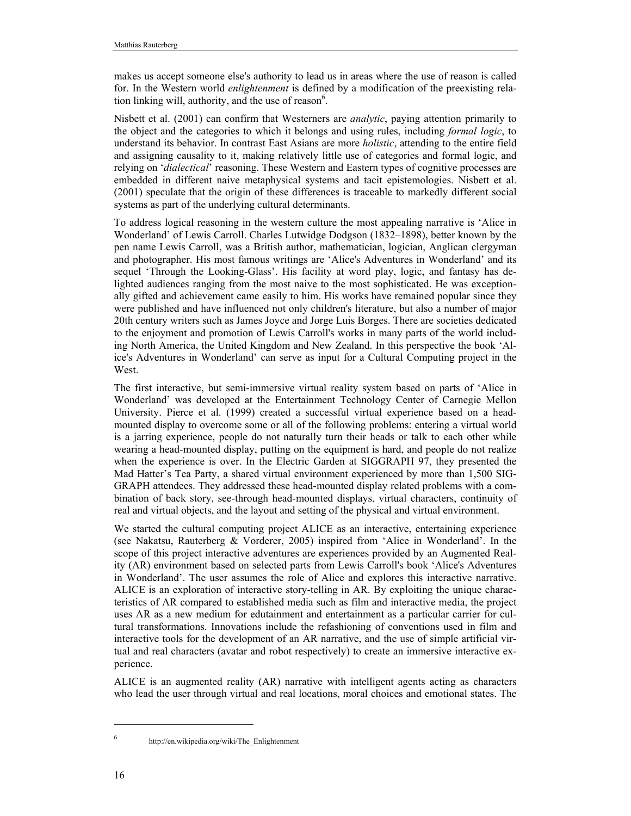makes us accept someone else's authority to lead us in areas where the use of reason is called for. In the Western world *enlightenment* is defined by a modification of the preexisting relation linking will, authority, and the use of reason $6$ .

Nisbett et al. (2001) can confirm that Westerners are *analytic*, paying attention primarily to the object and the categories to which it belongs and using rules, including *formal logic*, to understand its behavior. In contrast East Asians are more *holistic*, attending to the entire field and assigning causality to it, making relatively little use of categories and formal logic, and relying on '*dialectical*' reasoning. These Western and Eastern types of cognitive processes are embedded in different naive metaphysical systems and tacit epistemologies. Nisbett et al. (2001) speculate that the origin of these differences is traceable to markedly different social systems as part of the underlying cultural determinants.

To address logical reasoning in the western culture the most appealing narrative is 'Alice in Wonderland' of Lewis Carroll. Charles Lutwidge Dodgson (1832–1898), better known by the pen name Lewis Carroll, was a British author, mathematician, logician, Anglican clergyman and photographer. His most famous writings are 'Alice's Adventures in Wonderland' and its sequel 'Through the Looking-Glass'. His facility at word play, logic, and fantasy has delighted audiences ranging from the most naive to the most sophisticated. He was exceptionally gifted and achievement came easily to him. His works have remained popular since they were published and have influenced not only children's literature, but also a number of major 20th century writers such as James Joyce and Jorge Luis Borges. There are societies dedicated to the enjoyment and promotion of Lewis Carroll's works in many parts of the world including North America, the United Kingdom and New Zealand. In this perspective the book 'Alice's Adventures in Wonderland' can serve as input for a Cultural Computing project in the West.

The first interactive, but semi-immersive virtual reality system based on parts of 'Alice in Wonderland' was developed at the Entertainment Technology Center of Carnegie Mellon University. Pierce et al. (1999) created a successful virtual experience based on a headmounted display to overcome some or all of the following problems: entering a virtual world is a jarring experience, people do not naturally turn their heads or talk to each other while wearing a head-mounted display, putting on the equipment is hard, and people do not realize when the experience is over. In the Electric Garden at SIGGRAPH 97, they presented the Mad Hatter's Tea Party, a shared virtual environment experienced by more than 1,500 SIG-GRAPH attendees. They addressed these head-mounted display related problems with a combination of back story, see-through head-mounted displays, virtual characters, continuity of real and virtual objects, and the layout and setting of the physical and virtual environment.

We started the cultural computing project ALICE as an interactive, entertaining experience (see Nakatsu, Rauterberg & Vorderer, 2005) inspired from 'Alice in Wonderland'. In the scope of this project interactive adventures are experiences provided by an Augmented Reality (AR) environment based on selected parts from Lewis Carroll's book 'Alice's Adventures in Wonderland'. The user assumes the role of Alice and explores this interactive narrative. ALICE is an exploration of interactive story-telling in AR. By exploiting the unique characteristics of AR compared to established media such as film and interactive media, the project uses AR as a new medium for edutainment and entertainment as a particular carrier for cultural transformations. Innovations include the refashioning of conventions used in film and interactive tools for the development of an AR narrative, and the use of simple artificial virtual and real characters (avatar and robot respectively) to create an immersive interactive experience.

ALICE is an augmented reality (AR) narrative with intelligent agents acting as characters who lead the user through virtual and real locations, moral choices and emotional states. The

 $\overline{a}$ 6

http://en.wikipedia.org/wiki/The\_Enlightenment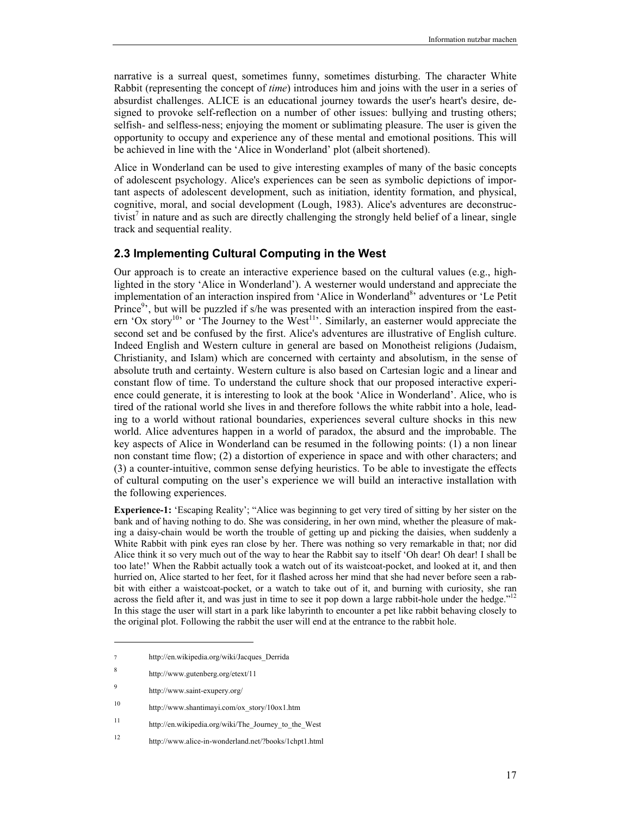narrative is a surreal quest, sometimes funny, sometimes disturbing. The character White Rabbit (representing the concept of *time*) introduces him and joins with the user in a series of absurdist challenges. ALICE is an educational journey towards the user's heart's desire, designed to provoke self-reflection on a number of other issues: bullying and trusting others; selfish- and selfless-ness; enjoying the moment or sublimating pleasure. The user is given the opportunity to occupy and experience any of these mental and emotional positions. This will be achieved in line with the 'Alice in Wonderland' plot (albeit shortened).

Alice in Wonderland can be used to give interesting examples of many of the basic concepts of adolescent psychology. Alice's experiences can be seen as symbolic depictions of important aspects of adolescent development, such as initiation, identity formation, and physical, cognitive, moral, and social development (Lough, 1983). Alice's adventures are deconstructivist<sup>7</sup> in nature and as such are directly challenging the strongly held belief of a linear, single track and sequential reality.

#### **2.3 Implementing Cultural Computing in the West**

Our approach is to create an interactive experience based on the cultural values (e.g., highlighted in the story 'Alice in Wonderland'). A westerner would understand and appreciate the implementation of an interaction inspired from 'Alice in Wonderland<sup>8</sup>' adventures or 'Le Petit Prince<sup>9</sup>, but will be puzzled if s/he was presented with an interaction inspired from the eastern 'Ox story<sup>10</sup>' or 'The Journey to the West<sup>11</sup>'. Similarly, an easterner would appreciate the second set and be confused by the first. Alice's adventures are illustrative of English culture. Indeed English and Western culture in general are based on Monotheist religions (Judaism, Christianity, and Islam) which are concerned with certainty and absolutism, in the sense of absolute truth and certainty. Western culture is also based on Cartesian logic and a linear and constant flow of time. To understand the culture shock that our proposed interactive experience could generate, it is interesting to look at the book 'Alice in Wonderland'. Alice, who is tired of the rational world she lives in and therefore follows the white rabbit into a hole, leading to a world without rational boundaries, experiences several culture shocks in this new world. Alice adventures happen in a world of paradox, the absurd and the improbable. The key aspects of Alice in Wonderland can be resumed in the following points: (1) a non linear non constant time flow; (2) a distortion of experience in space and with other characters; and (3) a counter-intuitive, common sense defying heuristics. To be able to investigate the effects of cultural computing on the user's experience we will build an interactive installation with the following experiences.

**Experience-1:** 'Escaping Reality'; "Alice was beginning to get very tired of sitting by her sister on the bank and of having nothing to do. She was considering, in her own mind, whether the pleasure of making a daisy-chain would be worth the trouble of getting up and picking the daisies, when suddenly a White Rabbit with pink eyes ran close by her. There was nothing so very remarkable in that; nor did Alice think it so very much out of the way to hear the Rabbit say to itself 'Oh dear! Oh dear! I shall be too late!' When the Rabbit actually took a watch out of its waistcoat-pocket, and looked at it, and then hurried on, Alice started to her feet, for it flashed across her mind that she had never before seen a rabbit with either a waistcoat-pocket, or a watch to take out of it, and burning with curiosity, she ran across the field after it, and was just in time to see it pop down a large rabbit-hole under the hedge." In this stage the user will start in a park like labyrinth to encounter a pet like rabbit behaving closely to the original plot. Following the rabbit the user will end at the entrance to the rabbit hole.

l

http://en.wikipedia.org/wiki/Jacques\_Derrida

<sup>8</sup> http://www.gutenberg.org/etext/11

<sup>9</sup> http://www.saint-exupery.org/

<sup>10</sup> http://www.shantimayi.com/ox\_story/10ox1.htm

<sup>11</sup> http://en.wikipedia.org/wiki/The\_Journey\_to\_the\_West

<sup>12</sup> http://www.alice-in-wonderland.net/?books/1chpt1.html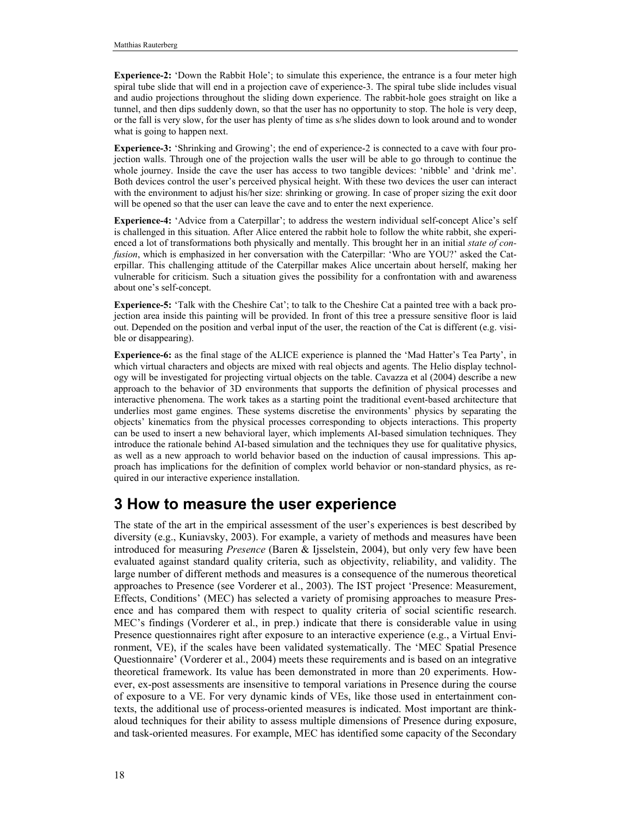**Experience-2:** 'Down the Rabbit Hole'; to simulate this experience, the entrance is a four meter high spiral tube slide that will end in a projection cave of experience-3. The spiral tube slide includes visual and audio projections throughout the sliding down experience. The rabbit-hole goes straight on like a tunnel, and then dips suddenly down, so that the user has no opportunity to stop. The hole is very deep, or the fall is very slow, for the user has plenty of time as s/he slides down to look around and to wonder what is going to happen next.

**Experience-3:** 'Shrinking and Growing'; the end of experience-2 is connected to a cave with four projection walls. Through one of the projection walls the user will be able to go through to continue the whole journey. Inside the cave the user has access to two tangible devices: 'nibble' and 'drink me'. Both devices control the user's perceived physical height. With these two devices the user can interact with the environment to adjust his/her size: shrinking or growing. In case of proper sizing the exit door will be opened so that the user can leave the cave and to enter the next experience.

**Experience-4:** 'Advice from a Caterpillar'; to address the western individual self-concept Alice's self is challenged in this situation. After Alice entered the rabbit hole to follow the white rabbit, she experienced a lot of transformations both physically and mentally. This brought her in an initial *state of confusion*, which is emphasized in her conversation with the Caterpillar: 'Who are YOU?' asked the Caterpillar. This challenging attitude of the Caterpillar makes Alice uncertain about herself, making her vulnerable for criticism. Such a situation gives the possibility for a confrontation with and awareness about one's self-concept.

**Experience-5:** 'Talk with the Cheshire Cat'; to talk to the Cheshire Cat a painted tree with a back projection area inside this painting will be provided. In front of this tree a pressure sensitive floor is laid out. Depended on the position and verbal input of the user, the reaction of the Cat is different (e.g. visible or disappearing).

**Experience-6:** as the final stage of the ALICE experience is planned the 'Mad Hatter's Tea Party', in which virtual characters and objects are mixed with real objects and agents. The Helio display technology will be investigated for projecting virtual objects on the table. Cavazza et al (2004) describe a new approach to the behavior of 3D environments that supports the definition of physical processes and interactive phenomena. The work takes as a starting point the traditional event-based architecture that underlies most game engines. These systems discretise the environments' physics by separating the objects' kinematics from the physical processes corresponding to objects interactions. This property can be used to insert a new behavioral layer, which implements AI-based simulation techniques. They introduce the rationale behind AI-based simulation and the techniques they use for qualitative physics, as well as a new approach to world behavior based on the induction of causal impressions. This approach has implications for the definition of complex world behavior or non-standard physics, as required in our interactive experience installation.

### **3 How to measure the user experience**

The state of the art in the empirical assessment of the user's experiences is best described by diversity (e.g., Kuniavsky, 2003). For example, a variety of methods and measures have been introduced for measuring *Presence* (Baren & Ijsselstein, 2004), but only very few have been evaluated against standard quality criteria, such as objectivity, reliability, and validity. The large number of different methods and measures is a consequence of the numerous theoretical approaches to Presence (see Vorderer et al., 2003). The IST project 'Presence: Measurement, Effects, Conditions' (MEC) has selected a variety of promising approaches to measure Presence and has compared them with respect to quality criteria of social scientific research. MEC's findings (Vorderer et al., in prep.) indicate that there is considerable value in using Presence questionnaires right after exposure to an interactive experience (e.g., a Virtual Environment, VE), if the scales have been validated systematically. The 'MEC Spatial Presence Questionnaire' (Vorderer et al., 2004) meets these requirements and is based on an integrative theoretical framework. Its value has been demonstrated in more than 20 experiments. However, ex-post assessments are insensitive to temporal variations in Presence during the course of exposure to a VE. For very dynamic kinds of VEs, like those used in entertainment contexts, the additional use of process-oriented measures is indicated. Most important are thinkaloud techniques for their ability to assess multiple dimensions of Presence during exposure, and task-oriented measures. For example, MEC has identified some capacity of the Secondary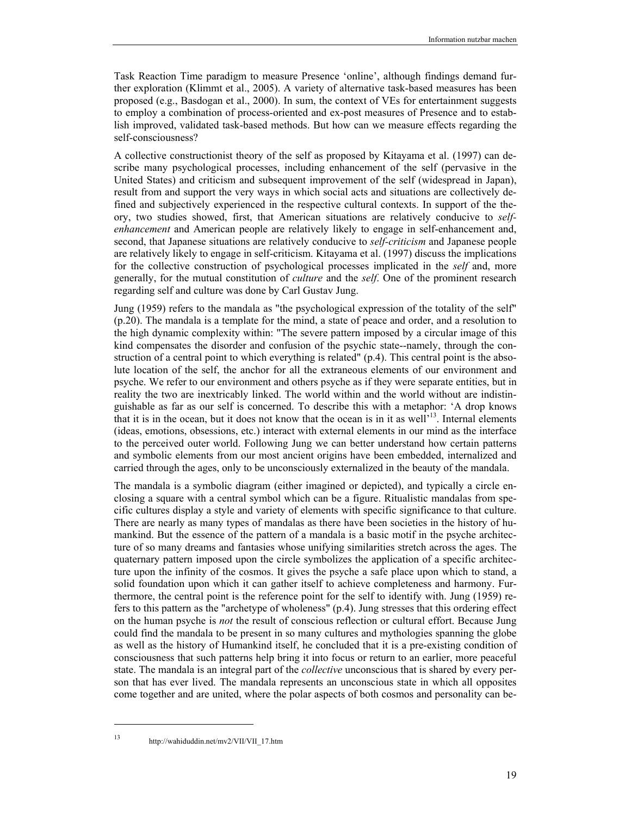Task Reaction Time paradigm to measure Presence 'online', although findings demand further exploration (Klimmt et al., 2005). A variety of alternative task-based measures has been proposed (e.g., Basdogan et al., 2000). In sum, the context of VEs for entertainment suggests to employ a combination of process-oriented and ex-post measures of Presence and to establish improved, validated task-based methods. But how can we measure effects regarding the self-consciousness?

A collective constructionist theory of the self as proposed by Kitayama et al. (1997) can describe many psychological processes, including enhancement of the self (pervasive in the United States) and criticism and subsequent improvement of the self (widespread in Japan), result from and support the very ways in which social acts and situations are collectively defined and subjectively experienced in the respective cultural contexts. In support of the theory, two studies showed, first, that American situations are relatively conducive to *selfenhancement* and American people are relatively likely to engage in self-enhancement and, second, that Japanese situations are relatively conducive to *self-criticism* and Japanese people are relatively likely to engage in self-criticism. Kitayama et al. (1997) discuss the implications for the collective construction of psychological processes implicated in the *self* and, more generally, for the mutual constitution of *culture* and the *self*. One of the prominent research regarding self and culture was done by Carl Gustav Jung.

Jung (1959) refers to the mandala as "the psychological expression of the totality of the self" (p.20). The mandala is a template for the mind, a state of peace and order, and a resolution to the high dynamic complexity within: "The severe pattern imposed by a circular image of this kind compensates the disorder and confusion of the psychic state--namely, through the construction of a central point to which everything is related" (p.4). This central point is the absolute location of the self, the anchor for all the extraneous elements of our environment and psyche. We refer to our environment and others psyche as if they were separate entities, but in reality the two are inextricably linked. The world within and the world without are indistinguishable as far as our self is concerned. To describe this with a metaphor: 'A drop knows that it is in the ocean, but it does not know that the ocean is in it as well $^{13}$ . Internal elements (ideas, emotions, obsessions, etc.) interact with external elements in our mind as the interface to the perceived outer world. Following Jung we can better understand how certain patterns and symbolic elements from our most ancient origins have been embedded, internalized and carried through the ages, only to be unconsciously externalized in the beauty of the mandala.

The mandala is a symbolic diagram (either imagined or depicted), and typically a circle enclosing a square with a central symbol which can be a figure. Ritualistic mandalas from specific cultures display a style and variety of elements with specific significance to that culture. There are nearly as many types of mandalas as there have been societies in the history of humankind. But the essence of the pattern of a mandala is a basic motif in the psyche architecture of so many dreams and fantasies whose unifying similarities stretch across the ages. The quaternary pattern imposed upon the circle symbolizes the application of a specific architecture upon the infinity of the cosmos. It gives the psyche a safe place upon which to stand, a solid foundation upon which it can gather itself to achieve completeness and harmony. Furthermore, the central point is the reference point for the self to identify with. Jung (1959) refers to this pattern as the "archetype of wholeness" (p.4). Jung stresses that this ordering effect on the human psyche is *not* the result of conscious reflection or cultural effort. Because Jung could find the mandala to be present in so many cultures and mythologies spanning the globe as well as the history of Humankind itself, he concluded that it is a pre-existing condition of consciousness that such patterns help bring it into focus or return to an earlier, more peaceful state. The mandala is an integral part of the *collective* unconscious that is shared by every person that has ever lived. The mandala represents an unconscious state in which all opposites come together and are united, where the polar aspects of both cosmos and personality can be-

 $\overline{a}$ 

<sup>13</sup> http://wahiduddin.net/mv2/VII/VII\_17.htm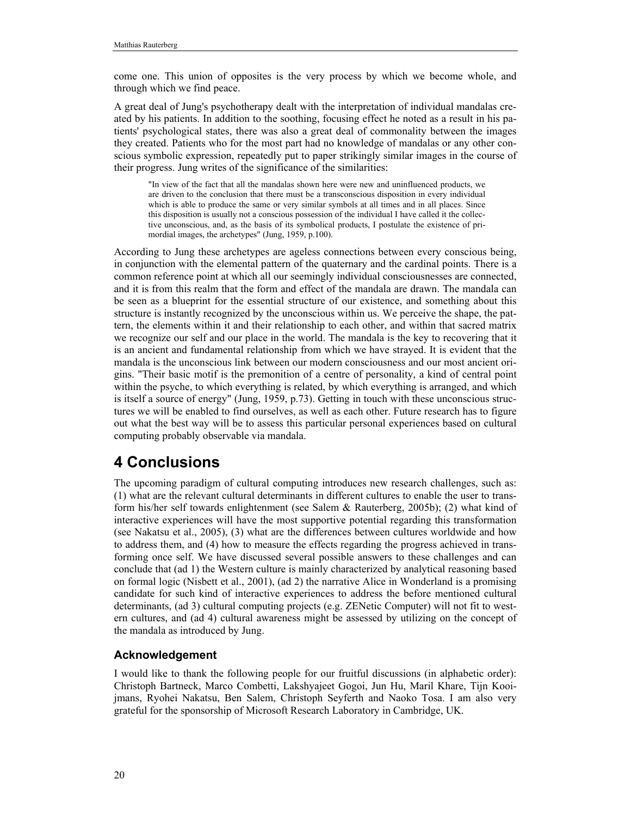come one. This union of opposites is the very process by which we become whole, and through which we find peace.

A great deal of Jung's psychotherapy dealt with the interpretation of individual mandalas created by his patients. In addition to the soothing, focusing effect he noted as a result in his patients' psychological states, there was also a great deal of commonality between the images they created. Patients who for the most part had no knowledge of mandalas or any other conscious symbolic expression, repeatedly put to paper strikingly similar images in the course of their progress. Jung writes of the significance of the similarities:

"In view of the fact that all the mandalas shown here were new and uninfluenced products, we are driven to the conclusion that there must be a transconscious disposition in every individual which is able to produce the same or very similar symbols at all times and in all places. Since this disposition is usually not a conscious possession of the individual I have called it the collective unconscious, and, as the basis of its symbolical products, I postulate the existence of primordial images, the archetypes" (Jung, 1959, p.100).

According to Jung these archetypes are ageless connections between every conscious being, in conjunction with the elemental pattern of the quaternary and the cardinal points. There is a common reference point at which all our seemingly individual consciousnesses are connected, and it is from this realm that the form and effect of the mandala are drawn. The mandala can be seen as a blueprint for the essential structure of our existence, and something about this structure is instantly recognized by the unconscious within us. We perceive the shape, the pattern, the elements within it and their relationship to each other, and within that sacred matrix we recognize our self and our place in the world. The mandala is the key to recovering that it is an ancient and fundamental relationship from which we have strayed. It is evident that the mandala is the unconscious link between our modern consciousness and our most ancient origins. "Their basic motif is the premonition of a centre of personality, a kind of central point within the psyche, to which everything is related, by which everything is arranged, and which is itself a source of energy" (Jung, 1959, p.73). Getting in touch with these unconscious structures we will be enabled to find ourselves, as well as each other. Future research has to figure out what the best way will be to assess this particular personal experiences based on cultural computing probably observable via mandala.

## **4 Conclusions**

The upcoming paradigm of cultural computing introduces new research challenges, such as: (1) what are the relevant cultural determinants in different cultures to enable the user to transform his/her self towards enlightenment (see Salem & Rauterberg, 2005b); (2) what kind of interactive experiences will have the most supportive potential regarding this transformation (see Nakatsu et al., 2005), (3) what are the differences between cultures worldwide and how to address them, and (4) how to measure the effects regarding the progress achieved in transforming once self. We have discussed several possible answers to these challenges and can conclude that (ad 1) the Western culture is mainly characterized by analytical reasoning based on formal logic (Nisbett et al., 2001), (ad 2) the narrative Alice in Wonderland is a promising candidate for such kind of interactive experiences to address the before mentioned cultural determinants, (ad 3) cultural computing projects (e.g. ZENetic Computer) will not fit to western cultures, and (ad 4) cultural awareness might be assessed by utilizing on the concept of the mandala as introduced by Jung.

### **Acknowledgement**

I would like to thank the following people for our fruitful discussions (in alphabetic order): Christoph Bartneck, Marco Combetti, Lakshyajeet Gogoi, Jun Hu, Maril Khare, Tijn Kooijmans, Ryohei Nakatsu, Ben Salem, Christoph Seyferth and Naoko Tosa. I am also very grateful for the sponsorship of Microsoft Research Laboratory in Cambridge, UK.